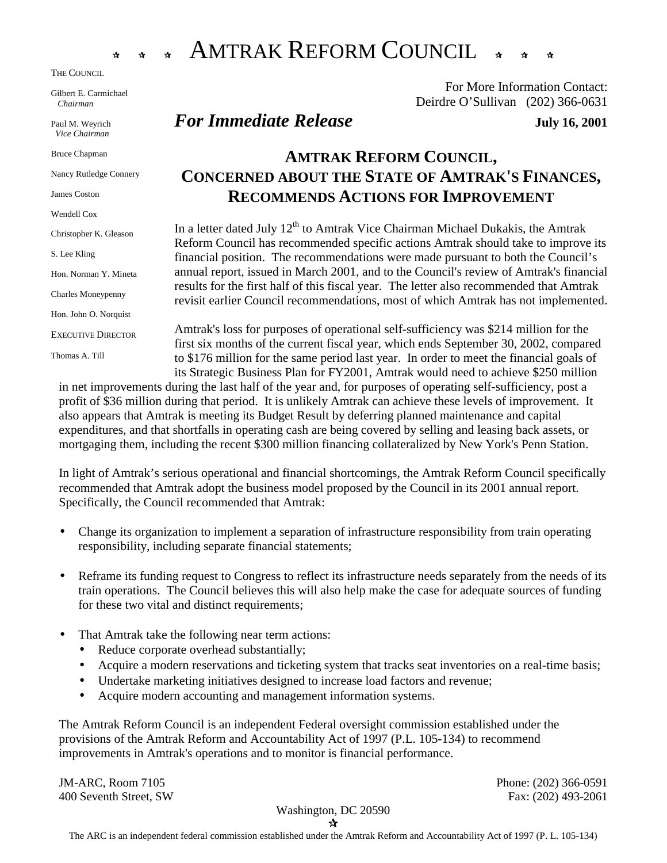

THE COUNCIL

Gilbert E. Carmichael *Chairman* 

Paul M. Weyrich *Vice Chairman* 

Bruce Chapman

Nancy Rutledge Connery

James Coston

Wendell Cox

Christopher K. Gleason

S. Lee Kling

Hon. Norman Y. Mineta

Charles Moneypenny

Hon. John O. Norquist

EXECUTIVE DIRECTOR

Thomas A. Till

# !!!AMTRAK REFORM COUNCIL!!!

For More Information Contact: Deirdre O'Sullivan (202) 366-0631

## *For Immediate Release July 16, 2001*

## **AMTRAK REFORM COUNCIL, CONCERNED ABOUT THE STATE OF AMTRAK'S FINANCES, RECOMMENDS ACTIONS FOR IMPROVEMENT**

In a letter dated July  $12<sup>th</sup>$  to Amtrak Vice Chairman Michael Dukakis, the Amtrak Reform Council has recommended specific actions Amtrak should take to improve its financial position. The recommendations were made pursuant to both the Council's annual report, issued in March 2001, and to the Council's review of Amtrak's financial results for the first half of this fiscal year. The letter also recommended that Amtrak revisit earlier Council recommendations, most of which Amtrak has not implemented.

Amtrak's loss for purposes of operational self-sufficiency was \$214 million for the first six months of the current fiscal year, which ends September 30, 2002, compared to \$176 million for the same period last year. In order to meet the financial goals of its Strategic Business Plan for FY2001, Amtrak would need to achieve \$250 million

in net improvements during the last half of the year and, for purposes of operating self-sufficiency, post a profit of \$36 million during that period. It is unlikely Amtrak can achieve these levels of improvement. It also appears that Amtrak is meeting its Budget Result by deferring planned maintenance and capital expenditures, and that shortfalls in operating cash are being covered by selling and leasing back assets, or mortgaging them, including the recent \$300 million financing collateralized by New York's Penn Station.

In light of Amtrak's serious operational and financial shortcomings, the Amtrak Reform Council specifically recommended that Amtrak adopt the business model proposed by the Council in its 2001 annual report. Specifically, the Council recommended that Amtrak:

- Change its organization to implement a separation of infrastructure responsibility from train operating responsibility, including separate financial statements;
- Reframe its funding request to Congress to reflect its infrastructure needs separately from the needs of its train operations. The Council believes this will also help make the case for adequate sources of funding for these two vital and distinct requirements;
- That Amtrak take the following near term actions:
	- Reduce corporate overhead substantially;
	- Acquire a modern reservations and ticketing system that tracks seat inventories on a real-time basis;
	- Undertake marketing initiatives designed to increase load factors and revenue;
	- Acquire modern accounting and management information systems.

The Amtrak Reform Council is an independent Federal oversight commission established under the provisions of the Amtrak Reform and Accountability Act of 1997 (P.L. 105-134) to recommend improvements in Amtrak's operations and to monitor is financial performance.

JM-ARC, Room 7105 Phone: (202) 366-0591 400 Seventh Street, SW Fax: (202) 493-2061

Washington, DC 20590

!